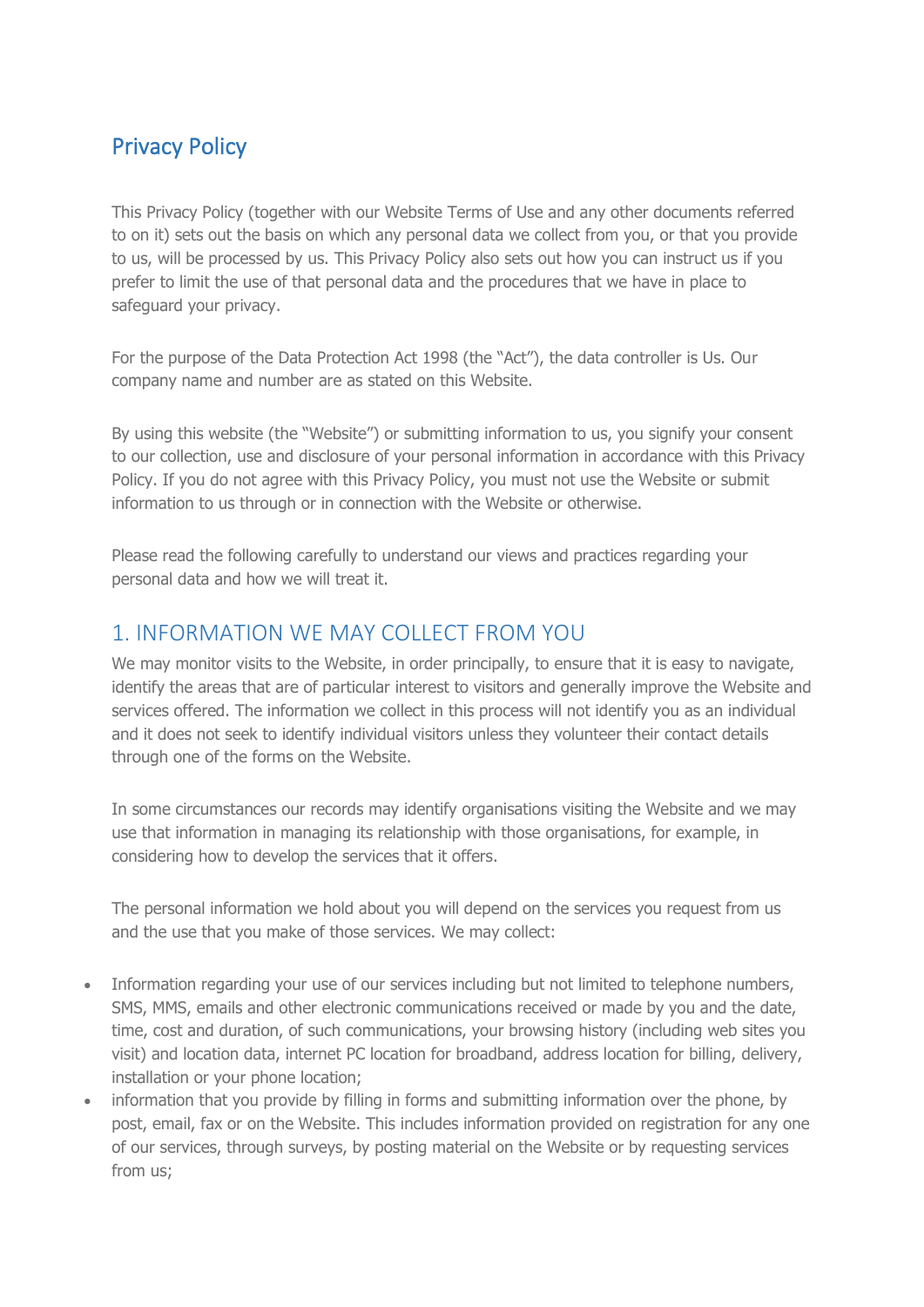# Privacy Policy

This Privacy Policy (together with our Website Terms of Use and any other documents referred to on it) sets out the basis on which any personal data we collect from you, or that you provide to us, will be processed by us. This Privacy Policy also sets out how you can instruct us if you prefer to limit the use of that personal data and the procedures that we have in place to safeguard your privacy.

For the purpose of the Data Protection Act 1998 (the "Act"), the data controller is Us. Our company name and number are as stated on this Website.

By using this website (the "Website") or submitting information to us, you signify your consent to our collection, use and disclosure of your personal information in accordance with this Privacy Policy. If you do not agree with this Privacy Policy, you must not use the Website or submit information to us through or in connection with the Website or otherwise.

Please read the following carefully to understand our views and practices regarding your personal data and how we will treat it.

#### 1. INFORMATION WE MAY COLLECT FROM YOU

We may monitor visits to the Website, in order principally, to ensure that it is easy to navigate, identify the areas that are of particular interest to visitors and generally improve the Website and services offered. The information we collect in this process will not identify you as an individual and it does not seek to identify individual visitors unless they volunteer their contact details through one of the forms on the Website.

In some circumstances our records may identify organisations visiting the Website and we may use that information in managing its relationship with those organisations, for example, in considering how to develop the services that it offers.

The personal information we hold about you will depend on the services you request from us and the use that you make of those services. We may collect:

- Information regarding your use of our services including but not limited to telephone numbers, SMS, MMS, emails and other electronic communications received or made by you and the date, time, cost and duration, of such communications, your browsing history (including web sites you visit) and location data, internet PC location for broadband, address location for billing, delivery, installation or your phone location;
- information that you provide by filling in forms and submitting information over the phone, by post, email, fax or on the Website. This includes information provided on registration for any one of our services, through surveys, by posting material on the Website or by requesting services from us;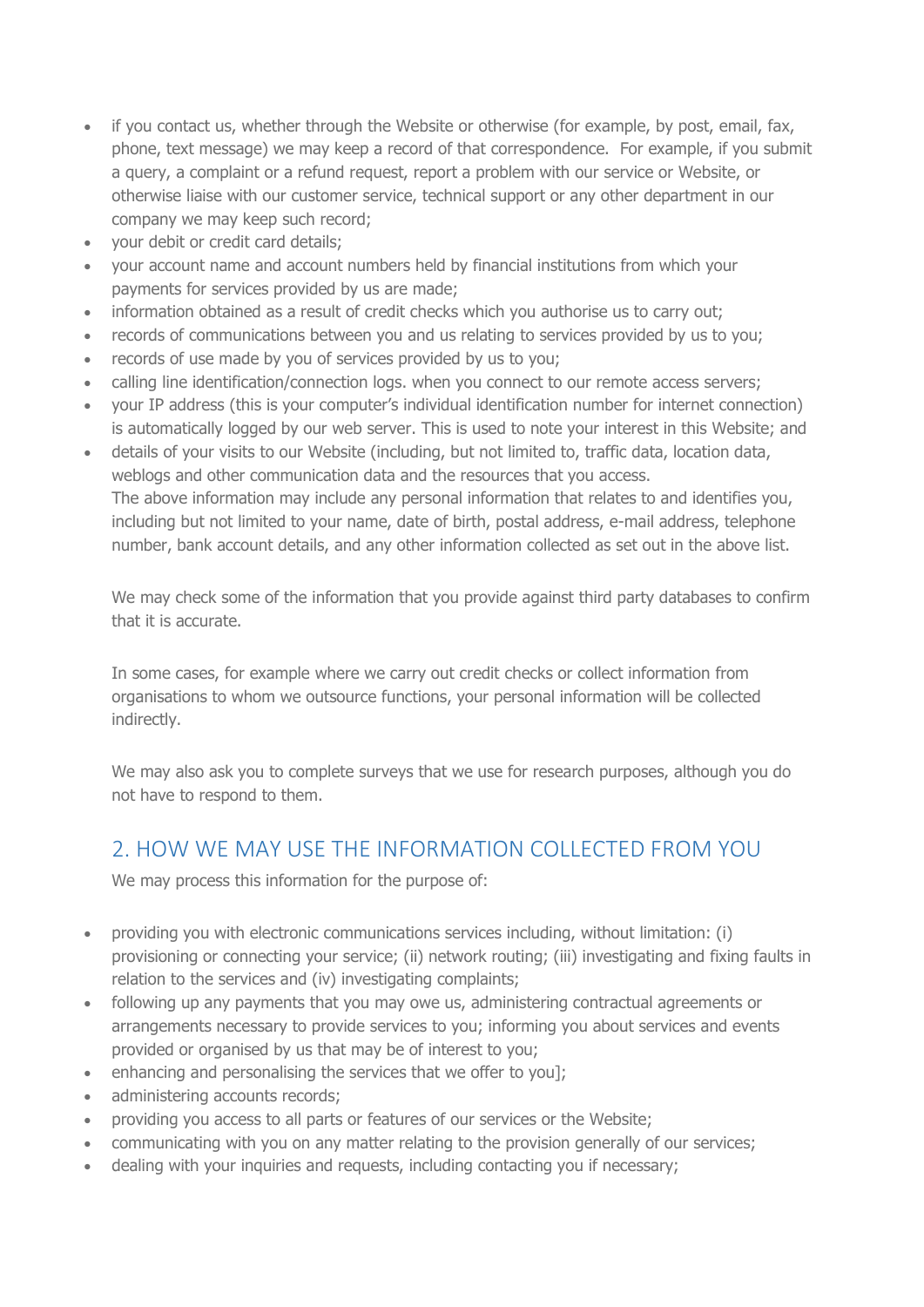- if you contact us, whether through the Website or otherwise (for example, by post, email, fax, phone, text message) we may keep a record of that correspondence. For example, if you submit a query, a complaint or a refund request, report a problem with our service or Website, or otherwise liaise with our customer service, technical support or any other department in our company we may keep such record;
- your debit or credit card details;
- your account name and account numbers held by financial institutions from which your payments for services provided by us are made;
- information obtained as a result of credit checks which you authorise us to carry out;
- records of communications between you and us relating to services provided by us to you;
- records of use made by you of services provided by us to you;
- calling line identification/connection logs. when you connect to our remote access servers;
- your IP address (this is your computer's individual identification number for internet connection) is automatically logged by our web server. This is used to note your interest in this Website; and
- details of your visits to our Website (including, but not limited to, traffic data, location data, weblogs and other communication data and the resources that you access. The above information may include any personal information that relates to and identifies you, including but not limited to your name, date of birth, postal address, e-mail address, telephone number, bank account details, and any other information collected as set out in the above list.

We may check some of the information that you provide against third party databases to confirm that it is accurate.

In some cases, for example where we carry out credit checks or collect information from organisations to whom we outsource functions, your personal information will be collected indirectly.

We may also ask you to complete surveys that we use for research purposes, although you do not have to respond to them.

# 2. HOW WE MAY USE THE INFORMATION COLLECTED FROM YOU

We may process this information for the purpose of:

- providing you with electronic communications services including, without limitation: (i) provisioning or connecting your service; (ii) network routing; (iii) investigating and fixing faults in relation to the services and (iv) investigating complaints;
- following up any payments that you may owe us, administering contractual agreements or arrangements necessary to provide services to you; informing you about services and events provided or organised by us that may be of interest to you;
- enhancing and personalising the services that we offer to you];
- administering accounts records;
- providing you access to all parts or features of our services or the Website;
- communicating with you on any matter relating to the provision generally of our services;
- dealing with your inquiries and requests, including contacting you if necessary;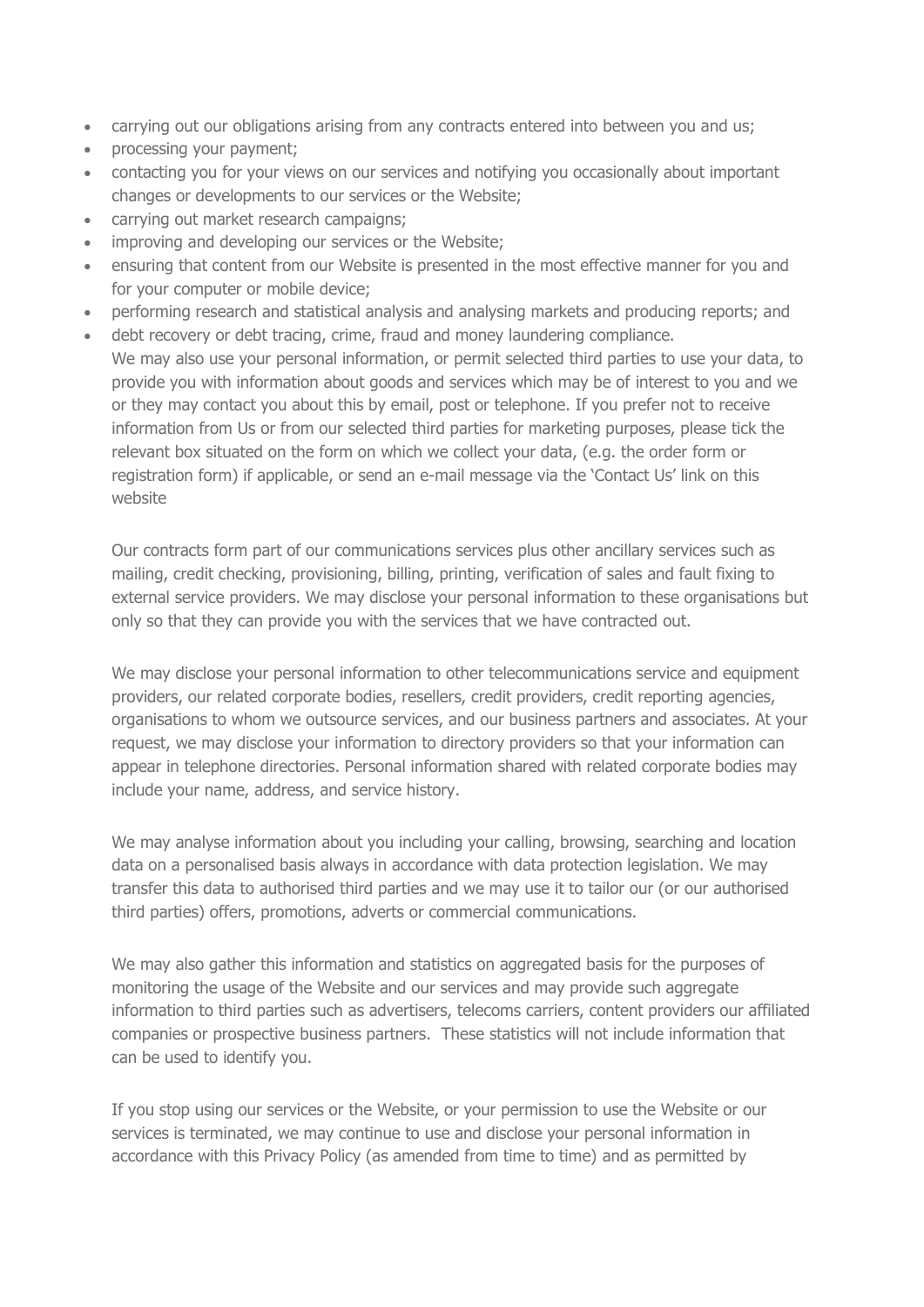- carrying out our obligations arising from any contracts entered into between you and us;
- processing your payment;
- contacting you for your views on our services and notifying you occasionally about important changes or developments to our services or the Website;
- carrying out market research campaigns;
- improving and developing our services or the Website;
- ensuring that content from our Website is presented in the most effective manner for you and for your computer or mobile device;
- performing research and statistical analysis and analysing markets and producing reports; and
- debt recovery or debt tracing, crime, fraud and money laundering compliance. We may also use your personal information, or permit selected third parties to use your data, to provide you with information about goods and services which may be of interest to you and we or they may contact you about this by email, post or telephone. If you prefer not to receive information from Us or from our selected third parties for marketing purposes, please tick the relevant box situated on the form on which we collect your data, (e.g. the order form or registration form) if applicable, or send an e-mail message via the 'Contact Us' link on this website

Our contracts form part of our communications services plus other ancillary services such as mailing, credit checking, provisioning, billing, printing, verification of sales and fault fixing to external service providers. We may disclose your personal information to these organisations but only so that they can provide you with the services that we have contracted out.

We may disclose your personal information to other telecommunications service and equipment providers, our related corporate bodies, resellers, credit providers, credit reporting agencies, organisations to whom we outsource services, and our business partners and associates. At your request, we may disclose your information to directory providers so that your information can appear in telephone directories. Personal information shared with related corporate bodies may include your name, address, and service history.

We may analyse information about you including your calling, browsing, searching and location data on a personalised basis always in accordance with data protection legislation. We may transfer this data to authorised third parties and we may use it to tailor our (or our authorised third parties) offers, promotions, adverts or commercial communications.

We may also gather this information and statistics on aggregated basis for the purposes of monitoring the usage of the Website and our services and may provide such aggregate information to third parties such as advertisers, telecoms carriers, content providers our affiliated companies or prospective business partners. These statistics will not include information that can be used to identify you.

If you stop using our services or the Website, or your permission to use the Website or our services is terminated, we may continue to use and disclose your personal information in accordance with this Privacy Policy (as amended from time to time) and as permitted by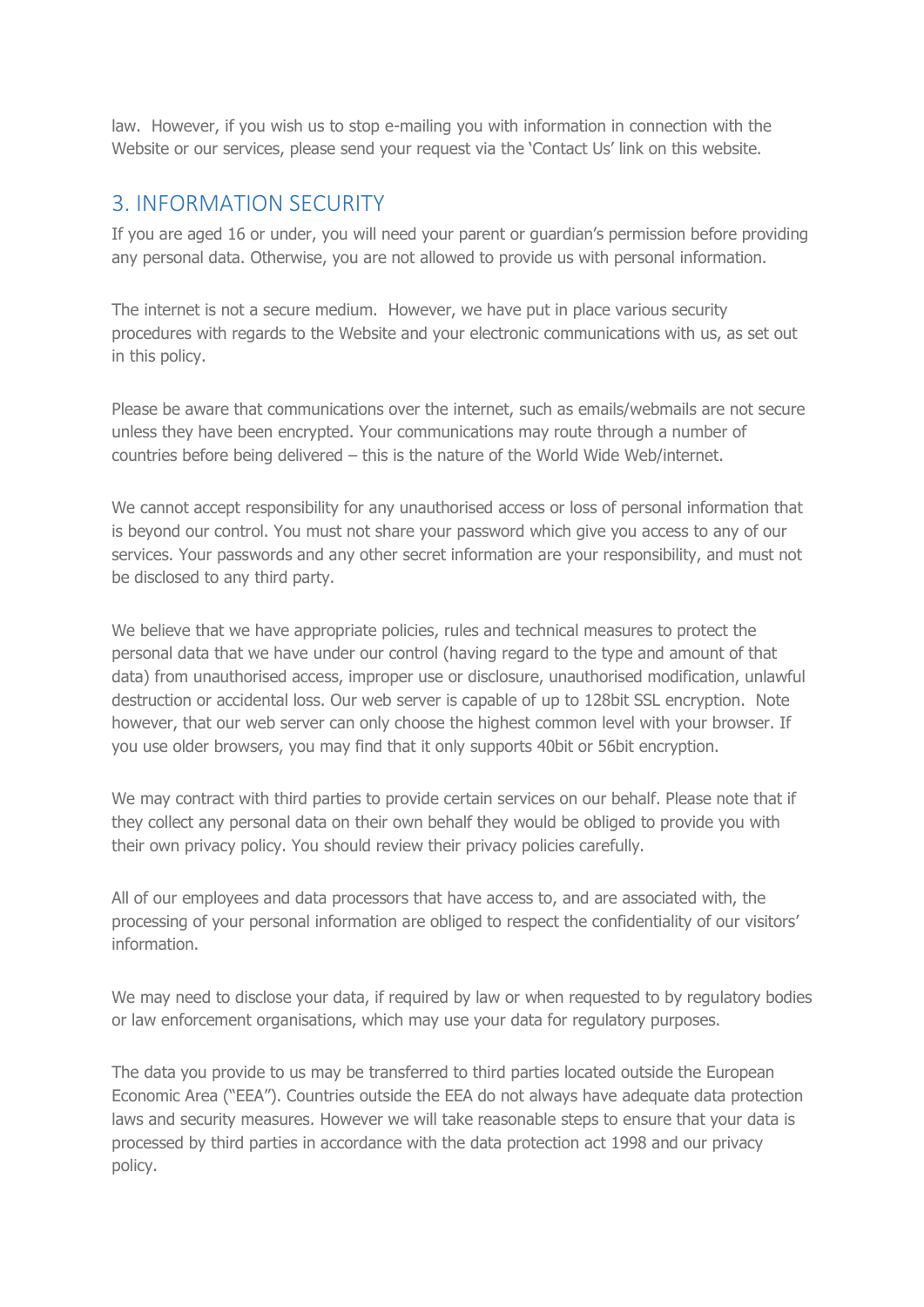law. However, if you wish us to stop e-mailing you with information in connection with the Website or our services, please send your request via the 'Contact Us' link on this website.

#### 3. INFORMATION SECURITY

If you are aged 16 or under, you will need your parent or guardian's permission before providing any personal data. Otherwise, you are not allowed to provide us with personal information.

The internet is not a secure medium. However, we have put in place various security procedures with regards to the Website and your electronic communications with us, as set out in this policy.

Please be aware that communications over the internet, such as emails/webmails are not secure unless they have been encrypted. Your communications may route through a number of countries before being delivered – this is the nature of the World Wide Web/internet.

We cannot accept responsibility for any unauthorised access or loss of personal information that is beyond our control. You must not share your password which give you access to any of our services. Your passwords and any other secret information are your responsibility, and must not be disclosed to any third party.

We believe that we have appropriate policies, rules and technical measures to protect the personal data that we have under our control (having regard to the type and amount of that data) from unauthorised access, improper use or disclosure, unauthorised modification, unlawful destruction or accidental loss. Our web server is capable of up to 128bit SSL encryption. Note however, that our web server can only choose the highest common level with your browser. If you use older browsers, you may find that it only supports 40bit or 56bit encryption.

We may contract with third parties to provide certain services on our behalf. Please note that if they collect any personal data on their own behalf they would be obliged to provide you with their own privacy policy. You should review their privacy policies carefully.

All of our employees and data processors that have access to, and are associated with, the processing of your personal information are obliged to respect the confidentiality of our visitors' information.

We may need to disclose your data, if required by law or when requested to by requlatory bodies or law enforcement organisations, which may use your data for regulatory purposes.

The data you provide to us may be transferred to third parties located outside the European Economic Area ("EEA"). Countries outside the EEA do not always have adequate data protection laws and security measures. However we will take reasonable steps to ensure that your data is processed by third parties in accordance with the data protection act 1998 and our privacy policy.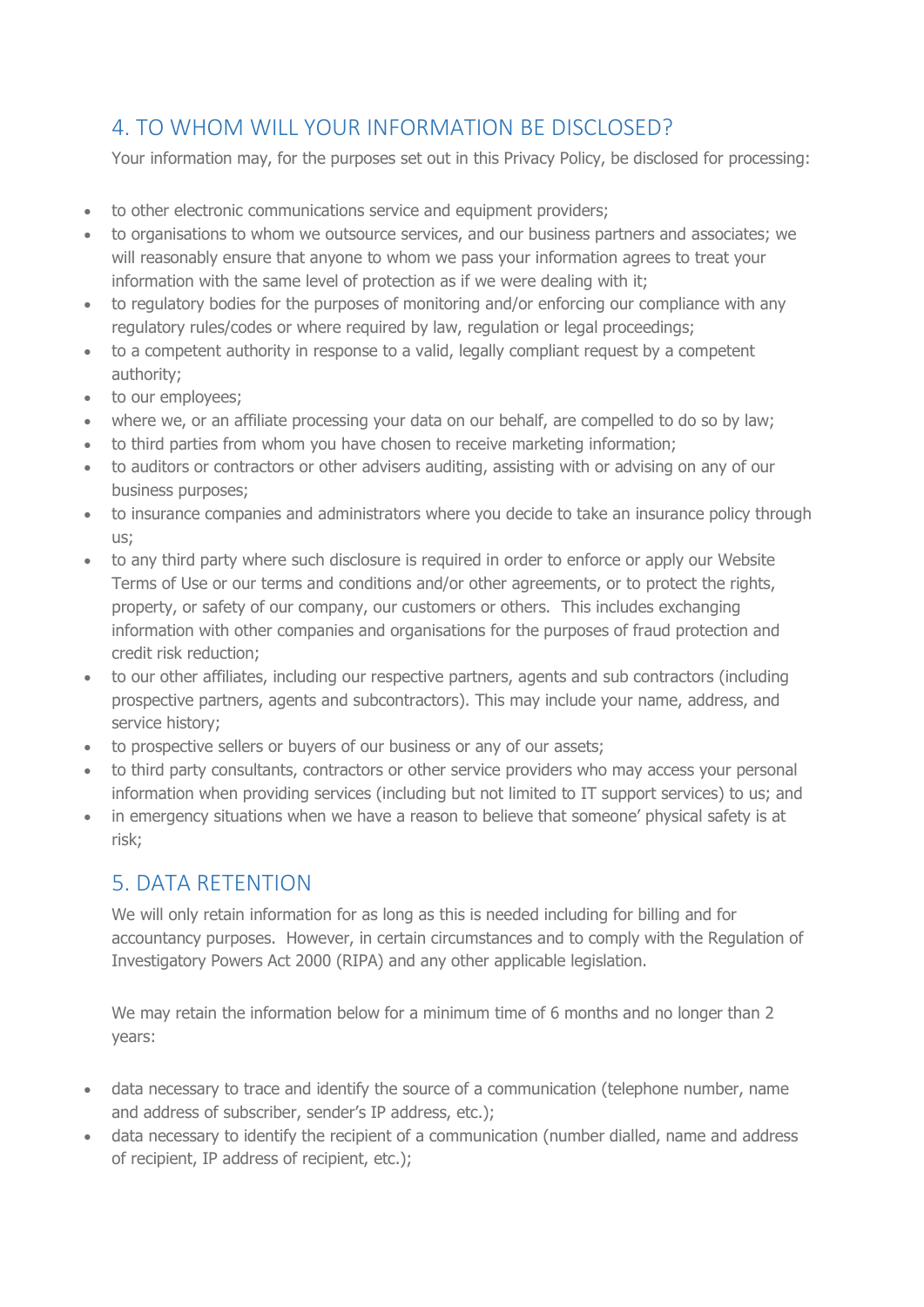# 4. TO WHOM WILL YOUR INFORMATION BE DISCLOSED?

Your information may, for the purposes set out in this Privacy Policy, be disclosed for processing:

- to other electronic communications service and equipment providers;
- to organisations to whom we outsource services, and our business partners and associates; we will reasonably ensure that anyone to whom we pass your information agrees to treat your information with the same level of protection as if we were dealing with it;
- to regulatory bodies for the purposes of monitoring and/or enforcing our compliance with any regulatory rules/codes or where required by law, regulation or legal proceedings;
- to a competent authority in response to a valid, legally compliant request by a competent authority;
- to our employees;
- where we, or an affiliate processing your data on our behalf, are compelled to do so by law;
- to third parties from whom you have chosen to receive marketing information;
- to auditors or contractors or other advisers auditing, assisting with or advising on any of our business purposes;
- to insurance companies and administrators where you decide to take an insurance policy through us;
- to any third party where such disclosure is required in order to enforce or apply our Website Terms of Use or our terms and conditions and/or other agreements, or to protect the rights, property, or safety of our company, our customers or others. This includes exchanging information with other companies and organisations for the purposes of fraud protection and credit risk reduction;
- to our other affiliates, including our respective partners, agents and sub contractors (including prospective partners, agents and subcontractors). This may include your name, address, and service history;
- to prospective sellers or buyers of our business or any of our assets;
- to third party consultants, contractors or other service providers who may access your personal information when providing services (including but not limited to IT support services) to us; and
- in emergency situations when we have a reason to believe that someone' physical safety is at risk;

# 5. DATA RETENTION

We will only retain information for as long as this is needed including for billing and for accountancy purposes. However, in certain circumstances and to comply with the Regulation of Investigatory Powers Act 2000 (RIPA) and any other applicable legislation.

We may retain the information below for a minimum time of 6 months and no longer than 2 years:

- data necessary to trace and identify the source of a communication (telephone number, name and address of subscriber, sender's IP address, etc.);
- data necessary to identify the recipient of a communication (number dialled, name and address of recipient, IP address of recipient, etc.);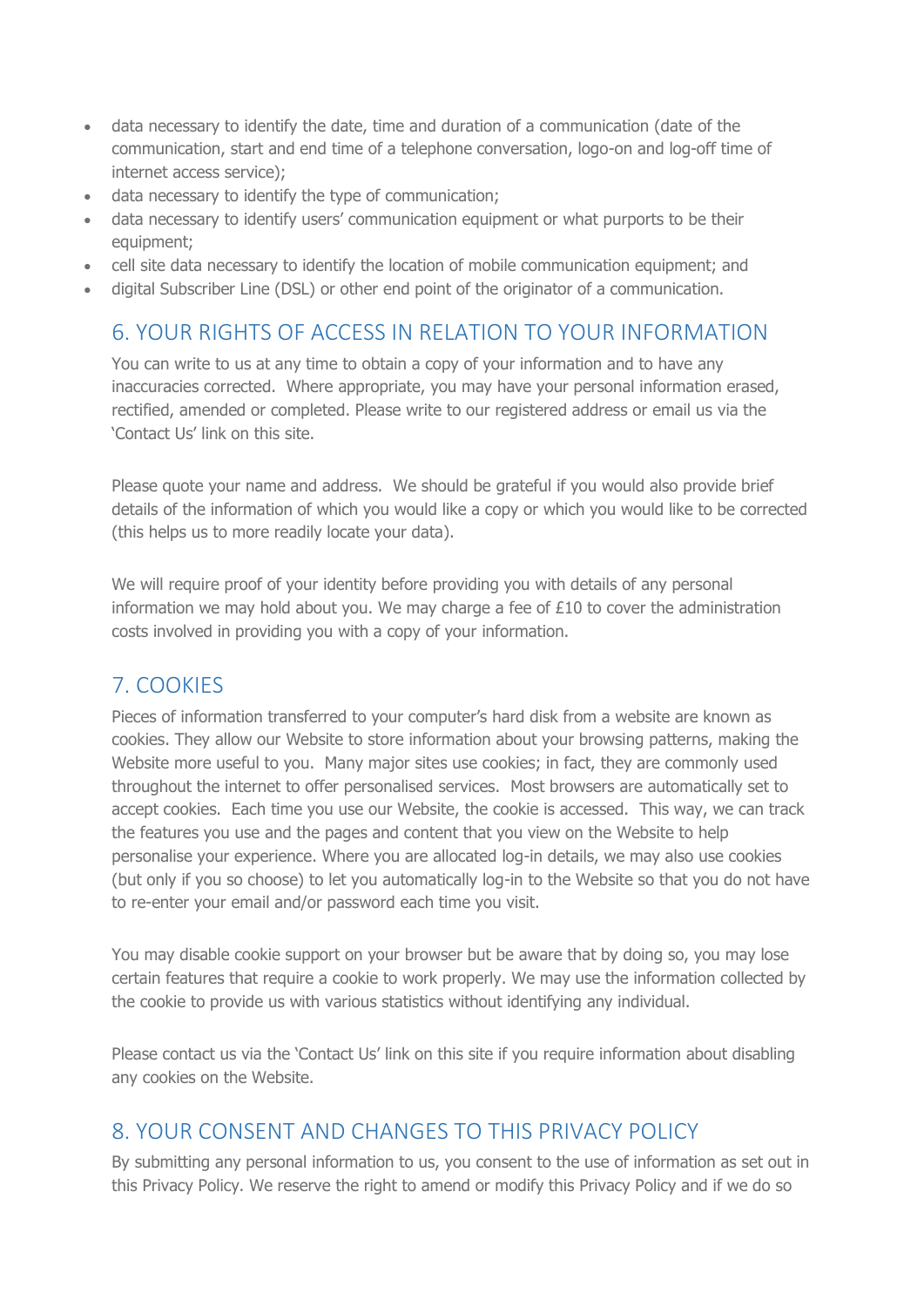- data necessary to identify the date, time and duration of a communication (date of the communication, start and end time of a telephone conversation, logo-on and log-off time of internet access service);
- data necessary to identify the type of communication;
- data necessary to identify users' communication equipment or what purports to be their equipment;
- cell site data necessary to identify the location of mobile communication equipment; and
- digital Subscriber Line (DSL) or other end point of the originator of a communication.

### 6. YOUR RIGHTS OF ACCESS IN RELATION TO YOUR INFORMATION

You can write to us at any time to obtain a copy of your information and to have any inaccuracies corrected. Where appropriate, you may have your personal information erased, rectified, amended or completed. Please write to our registered address or email us via the 'Contact Us' link on this site.

Please quote your name and address. We should be grateful if you would also provide brief details of the information of which you would like a copy or which you would like to be corrected (this helps us to more readily locate your data).

We will require proof of your identity before providing you with details of any personal information we may hold about you. We may charge a fee of  $£10$  to cover the administration costs involved in providing you with a copy of your information.

# 7. COOKIES

Pieces of information transferred to your computer's hard disk from a website are known as cookies. They allow our Website to store information about your browsing patterns, making the Website more useful to you. Many major sites use cookies; in fact, they are commonly used throughout the internet to offer personalised services. Most browsers are automatically set to accept cookies. Each time you use our Website, the cookie is accessed. This way, we can track the features you use and the pages and content that you view on the Website to help personalise your experience. Where you are allocated log-in details, we may also use cookies (but only if you so choose) to let you automatically log-in to the Website so that you do not have to re-enter your email and/or password each time you visit.

You may disable cookie support on your browser but be aware that by doing so, you may lose certain features that require a cookie to work properly. We may use the information collected by the cookie to provide us with various statistics without identifying any individual.

Please contact us via the 'Contact Us' link on this site if you require information about disabling any cookies on the Website.

#### 8. YOUR CONSENT AND CHANGES TO THIS PRIVACY POLICY

By submitting any personal information to us, you consent to the use of information as set out in this Privacy Policy. We reserve the right to amend or modify this Privacy Policy and if we do so